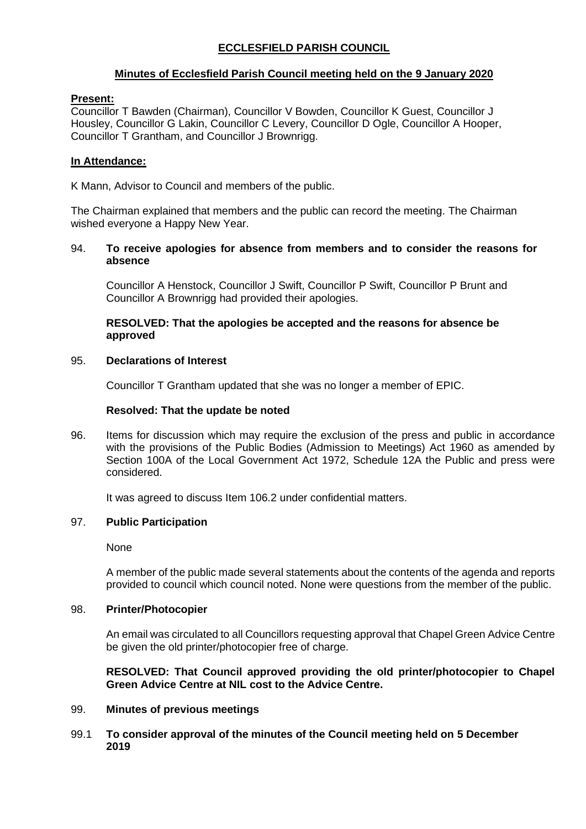# **ECCLESFIELD PARISH COUNCIL**

# **Minutes of Ecclesfield Parish Council meeting held on the 9 January 2020**

## **Present:**

Councillor T Bawden (Chairman), Councillor V Bowden, Councillor K Guest, Councillor J Housley, Councillor G Lakin, Councillor C Levery, Councillor D Ogle, Councillor A Hooper, Councillor T Grantham, and Councillor J Brownrigg.

## **In Attendance:**

K Mann, Advisor to Council and members of the public.

The Chairman explained that members and the public can record the meeting. The Chairman wished everyone a Happy New Year.

## 94. **To receive apologies for absence from members and to consider the reasons for absence**

Councillor A Henstock, Councillor J Swift, Councillor P Swift, Councillor P Brunt and Councillor A Brownrigg had provided their apologies.

# **RESOLVED: That the apologies be accepted and the reasons for absence be approved**

### 95. **Declarations of Interest**

Councillor T Grantham updated that she was no longer a member of EPIC.

## **Resolved: That the update be noted**

96. Items for discussion which may require the exclusion of the press and public in accordance with the provisions of the Public Bodies (Admission to Meetings) Act 1960 as amended by Section 100A of the Local Government Act 1972, Schedule 12A the Public and press were considered.

It was agreed to discuss Item 106.2 under confidential matters.

# 97. **Public Participation**

None

A member of the public made several statements about the contents of the agenda and reports provided to council which council noted. None were questions from the member of the public.

# 98. **Printer/Photocopier**

An email was circulated to all Councillors requesting approval that Chapel Green Advice Centre be given the old printer/photocopier free of charge.

**RESOLVED: That Council approved providing the old printer/photocopier to Chapel Green Advice Centre at NIL cost to the Advice Centre.**

#### 99. **Minutes of previous meetings**

### 99.1 **To consider approval of the minutes of the Council meeting held on 5 December 2019**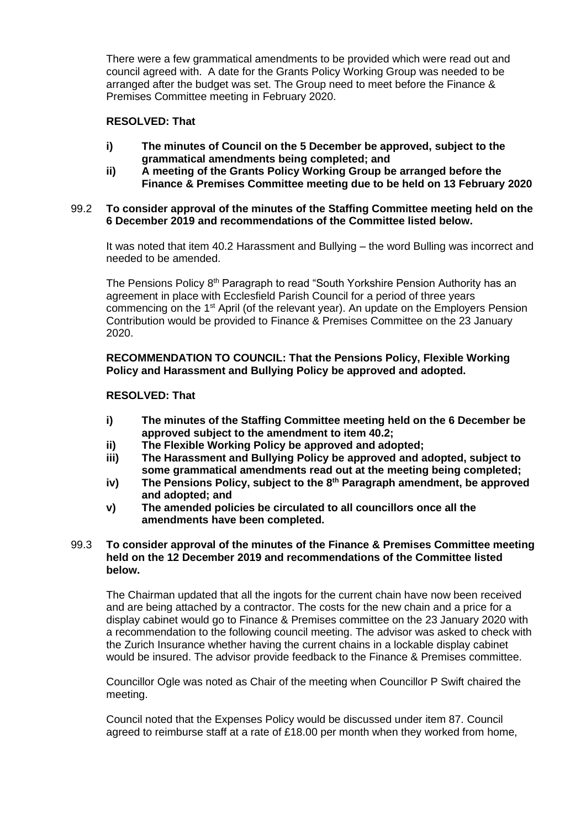There were a few grammatical amendments to be provided which were read out and council agreed with. A date for the Grants Policy Working Group was needed to be arranged after the budget was set. The Group need to meet before the Finance & Premises Committee meeting in February 2020.

# **RESOLVED: That**

- **i) The minutes of Council on the 5 December be approved, subject to the grammatical amendments being completed; and**
- **ii) A meeting of the Grants Policy Working Group be arranged before the Finance & Premises Committee meeting due to be held on 13 February 2020**

## 99.2 **To consider approval of the minutes of the Staffing Committee meeting held on the 6 December 2019 and recommendations of the Committee listed below.**

It was noted that item 40.2 Harassment and Bullying – the word Bulling was incorrect and needed to be amended.

The Pensions Policy 8<sup>th</sup> Paragraph to read "South Yorkshire Pension Authority has an agreement in place with Ecclesfield Parish Council for a period of three years commencing on the 1<sup>st</sup> April (of the relevant year). An update on the Employers Pension Contribution would be provided to Finance & Premises Committee on the 23 January 2020.

**RECOMMENDATION TO COUNCIL: That the Pensions Policy, Flexible Working Policy and Harassment and Bullying Policy be approved and adopted.**

# **RESOLVED: That**

- **i) The minutes of the Staffing Committee meeting held on the 6 December be approved subject to the amendment to item 40.2;**
- **ii) The Flexible Working Policy be approved and adopted;**
- **iii) The Harassment and Bullying Policy be approved and adopted, subject to some grammatical amendments read out at the meeting being completed;**
- **iv) The Pensions Policy, subject to the 8th Paragraph amendment, be approved and adopted; and**
- **v) The amended policies be circulated to all councillors once all the amendments have been completed.**

### 99.3 **To consider approval of the minutes of the Finance & Premises Committee meeting held on the 12 December 2019 and recommendations of the Committee listed below.**

The Chairman updated that all the ingots for the current chain have now been received and are being attached by a contractor. The costs for the new chain and a price for a display cabinet would go to Finance & Premises committee on the 23 January 2020 with a recommendation to the following council meeting. The advisor was asked to check with the Zurich Insurance whether having the current chains in a lockable display cabinet would be insured. The advisor provide feedback to the Finance & Premises committee.

Councillor Ogle was noted as Chair of the meeting when Councillor P Swift chaired the meeting.

Council noted that the Expenses Policy would be discussed under item 87. Council agreed to reimburse staff at a rate of £18.00 per month when they worked from home,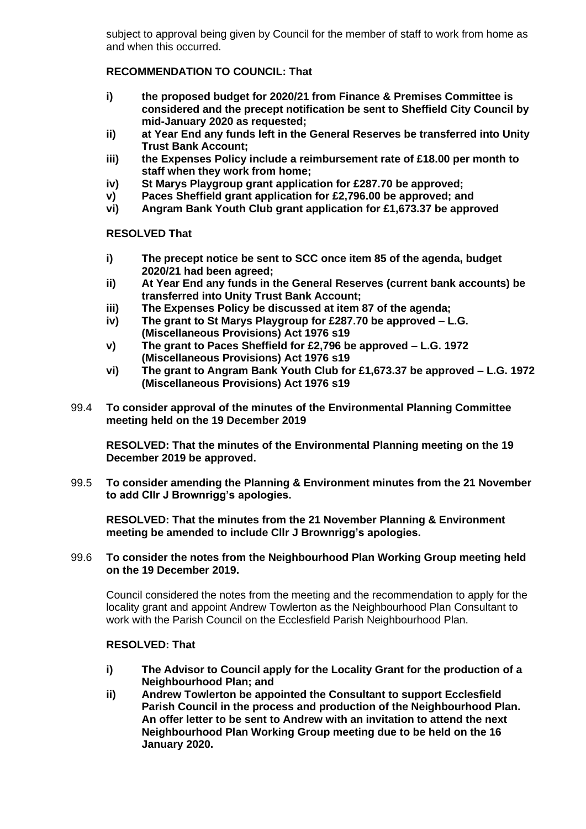subject to approval being given by Council for the member of staff to work from home as and when this occurred.

# **RECOMMENDATION TO COUNCIL: That**

- **i) the proposed budget for 2020/21 from Finance & Premises Committee is considered and the precept notification be sent to Sheffield City Council by mid-January 2020 as requested;**
- **ii) at Year End any funds left in the General Reserves be transferred into Unity Trust Bank Account;**
- **iii) the Expenses Policy include a reimbursement rate of £18.00 per month to staff when they work from home;**
- **iv) St Marys Playgroup grant application for £287.70 be approved;**
- **v) Paces Sheffield grant application for £2,796.00 be approved; and**
- **vi) Angram Bank Youth Club grant application for £1,673.37 be approved**

# **RESOLVED That**

- **i) The precept notice be sent to SCC once item 85 of the agenda, budget 2020/21 had been agreed;**
- **ii) At Year End any funds in the General Reserves (current bank accounts) be transferred into Unity Trust Bank Account;**
- **iii) The Expenses Policy be discussed at item 87 of the agenda;**
- **iv) The grant to St Marys Playgroup for £287.70 be approved – L.G. (Miscellaneous Provisions) Act 1976 s19**
- **v) The grant to Paces Sheffield for £2,796 be approved – L.G. 1972 (Miscellaneous Provisions) Act 1976 s19**
- **vi) The grant to Angram Bank Youth Club for £1,673.37 be approved – L.G. 1972 (Miscellaneous Provisions) Act 1976 s19**
- 99.4 **To consider approval of the minutes of the Environmental Planning Committee meeting held on the 19 December 2019**

**RESOLVED: That the minutes of the Environmental Planning meeting on the 19 December 2019 be approved.**

99.5 **To consider amending the Planning & Environment minutes from the 21 November to add Cllr J Brownrigg's apologies.**

**RESOLVED: That the minutes from the 21 November Planning & Environment meeting be amended to include Cllr J Brownrigg's apologies.**

### 99.6 **To consider the notes from the Neighbourhood Plan Working Group meeting held on the 19 December 2019.**

Council considered the notes from the meeting and the recommendation to apply for the locality grant and appoint Andrew Towlerton as the Neighbourhood Plan Consultant to work with the Parish Council on the Ecclesfield Parish Neighbourhood Plan.

# **RESOLVED: That**

- **i) The Advisor to Council apply for the Locality Grant for the production of a Neighbourhood Plan; and**
- **ii) Andrew Towlerton be appointed the Consultant to support Ecclesfield Parish Council in the process and production of the Neighbourhood Plan. An offer letter to be sent to Andrew with an invitation to attend the next Neighbourhood Plan Working Group meeting due to be held on the 16 January 2020.**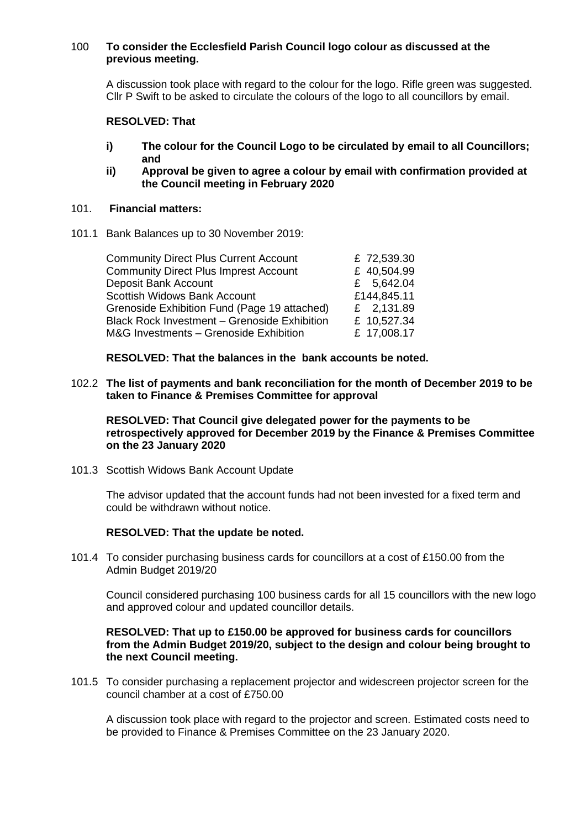### 100 **To consider the Ecclesfield Parish Council logo colour as discussed at the previous meeting.**

A discussion took place with regard to the colour for the logo. Rifle green was suggested. Cllr P Swift to be asked to circulate the colours of the logo to all councillors by email.

#### **RESOLVED: That**

- **i) The colour for the Council Logo to be circulated by email to all Councillors; and**
- **ii) Approval be given to agree a colour by email with confirmation provided at the Council meeting in February 2020**

#### 101. **Financial matters:**

101.1 Bank Balances up to 30 November 2019:

| £ 72,539.30 |
|-------------|
| £ 40,504.99 |
| £ 5,642.04  |
| £144,845.11 |
| £ 2,131.89  |
| £ 10,527.34 |
| £ 17,008.17 |
|             |

**RESOLVED: That the balances in the bank accounts be noted.**

102.2 **The list of payments and bank reconciliation for the month of December 2019 to be taken to Finance & Premises Committee for approval**

**RESOLVED: That Council give delegated power for the payments to be retrospectively approved for December 2019 by the Finance & Premises Committee on the 23 January 2020**

101.3 Scottish Widows Bank Account Update

The advisor updated that the account funds had not been invested for a fixed term and could be withdrawn without notice.

#### **RESOLVED: That the update be noted.**

101.4 To consider purchasing business cards for councillors at a cost of £150.00 from the Admin Budget 2019/20

Council considered purchasing 100 business cards for all 15 councillors with the new logo and approved colour and updated councillor details.

#### **RESOLVED: That up to £150.00 be approved for business cards for councillors from the Admin Budget 2019/20, subject to the design and colour being brought to the next Council meeting.**

101.5 To consider purchasing a replacement projector and widescreen projector screen for the council chamber at a cost of £750.00

A discussion took place with regard to the projector and screen. Estimated costs need to be provided to Finance & Premises Committee on the 23 January 2020.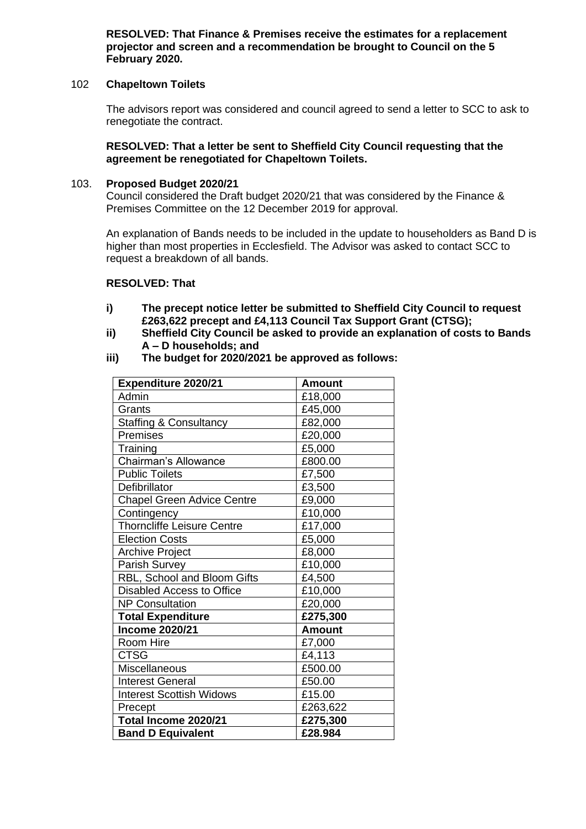**RESOLVED: That Finance & Premises receive the estimates for a replacement projector and screen and a recommendation be brought to Council on the 5 February 2020.**

## 102 **Chapeltown Toilets**

The advisors report was considered and council agreed to send a letter to SCC to ask to renegotiate the contract.

### **RESOLVED: That a letter be sent to Sheffield City Council requesting that the agreement be renegotiated for Chapeltown Toilets.**

### 103. **Proposed Budget 2020/21**

Council considered the Draft budget 2020/21 that was considered by the Finance & Premises Committee on the 12 December 2019 for approval.

An explanation of Bands needs to be included in the update to householders as Band D is higher than most properties in Ecclesfield. The Advisor was asked to contact SCC to request a breakdown of all bands.

#### **RESOLVED: That**

- **i) The precept notice letter be submitted to Sheffield City Council to request £263,622 precept and £4,113 Council Tax Support Grant (CTSG);**
- **ii) Sheffield City Council be asked to provide an explanation of costs to Bands A – D households; and**
- **iii) The budget for 2020/2021 be approved as follows:**

| Expenditure 2020/21               | <b>Amount</b> |
|-----------------------------------|---------------|
| Admin                             | £18,000       |
| Grants                            | £45,000       |
| <b>Staffing &amp; Consultancy</b> | £82,000       |
| Premises                          | £20,000       |
| Training                          | £5,000        |
| <b>Chairman's Allowance</b>       | £800.00       |
| <b>Public Toilets</b>             | £7,500        |
| Defibrillator                     | £3,500        |
| <b>Chapel Green Advice Centre</b> | £9,000        |
| Contingency                       | £10,000       |
| Thorncliffe Leisure Centre        | £17,000       |
| <b>Election Costs</b>             | £5,000        |
| <b>Archive Project</b>            | £8,000        |
| Parish Survey                     | £10,000       |
| RBL, School and Bloom Gifts       | £4,500        |
| Disabled Access to Office         | £10,000       |
| <b>NP Consultation</b>            | £20,000       |
| <b>Total Expenditure</b>          | £275,300      |
| <b>Income 2020/21</b>             | <b>Amount</b> |
| Room Hire                         | £7,000        |
| <b>CTSG</b>                       | £4,113        |
| Miscellaneous                     | £500.00       |
| <b>Interest General</b>           | £50.00        |
| <b>Interest Scottish Widows</b>   | £15.00        |
| Precept                           | £263,622      |
| Total Income 2020/21              | £275,300      |
| <b>Band D Equivalent</b>          | £28,984       |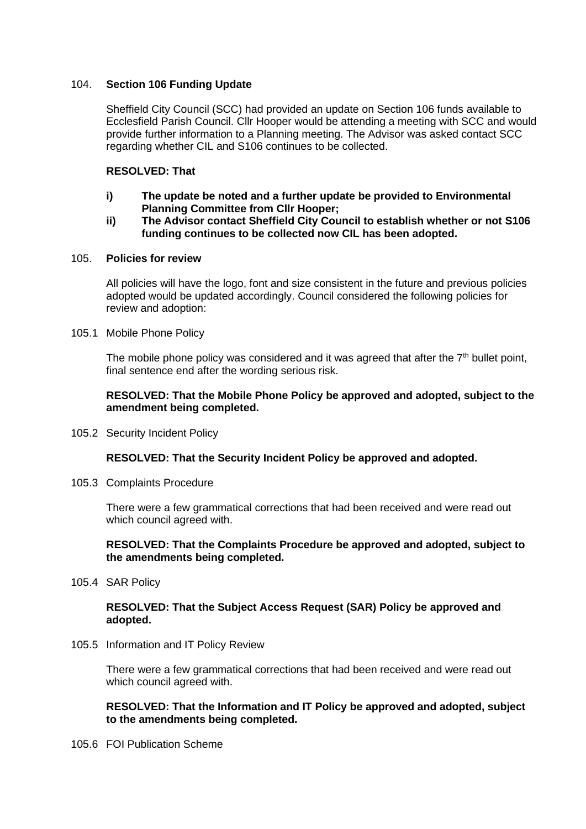# 104. **Section 106 Funding Update**

Sheffield City Council (SCC) had provided an update on Section 106 funds available to Ecclesfield Parish Council. Cllr Hooper would be attending a meeting with SCC and would provide further information to a Planning meeting. The Advisor was asked contact SCC regarding whether CIL and S106 continues to be collected.

## **RESOLVED: That**

- **i) The update be noted and a further update be provided to Environmental Planning Committee from Cllr Hooper;**
- **ii) The Advisor contact Sheffield City Council to establish whether or not S106 funding continues to be collected now CIL has been adopted.**

#### 105. **Policies for review**

All policies will have the logo, font and size consistent in the future and previous policies adopted would be updated accordingly. Council considered the following policies for review and adoption:

#### 105.1 Mobile Phone Policy

The mobile phone policy was considered and it was agreed that after the  $7<sup>th</sup>$  bullet point, final sentence end after the wording serious risk.

#### **RESOLVED: That the Mobile Phone Policy be approved and adopted, subject to the amendment being completed.**

105.2 Security Incident Policy

# **RESOLVED: That the Security Incident Policy be approved and adopted.**

105.3 Complaints Procedure

There were a few grammatical corrections that had been received and were read out which council agreed with.

### **RESOLVED: That the Complaints Procedure be approved and adopted, subject to the amendments being completed.**

105.4 SAR Policy

### **RESOLVED: That the Subject Access Request (SAR) Policy be approved and adopted.**

105.5 Information and IT Policy Review

There were a few grammatical corrections that had been received and were read out which council agreed with.

**RESOLVED: That the Information and IT Policy be approved and adopted, subject to the amendments being completed.**

105.6 FOI Publication Scheme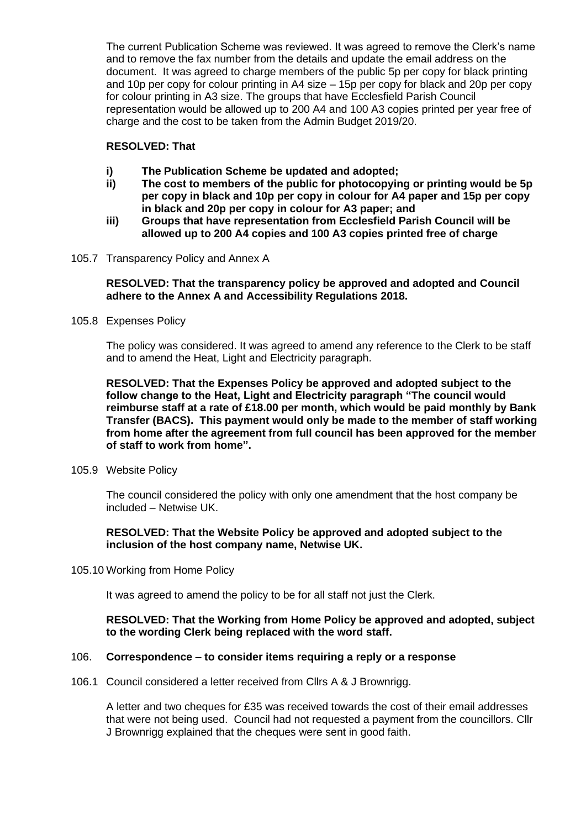The current Publication Scheme was reviewed. It was agreed to remove the Clerk's name and to remove the fax number from the details and update the email address on the document. It was agreed to charge members of the public 5p per copy for black printing and 10p per copy for colour printing in A4 size – 15p per copy for black and 20p per copy for colour printing in A3 size. The groups that have Ecclesfield Parish Council representation would be allowed up to 200 A4 and 100 A3 copies printed per year free of charge and the cost to be taken from the Admin Budget 2019/20.

# **RESOLVED: That**

- **i) The Publication Scheme be updated and adopted;**
- **ii) The cost to members of the public for photocopying or printing would be 5p per copy in black and 10p per copy in colour for A4 paper and 15p per copy in black and 20p per copy in colour for A3 paper; and**
- **iii) Groups that have representation from Ecclesfield Parish Council will be allowed up to 200 A4 copies and 100 A3 copies printed free of charge**
- 105.7 Transparency Policy and Annex A

## **RESOLVED: That the transparency policy be approved and adopted and Council adhere to the Annex A and Accessibility Regulations 2018.**

105.8 Expenses Policy

The policy was considered. It was agreed to amend any reference to the Clerk to be staff and to amend the Heat, Light and Electricity paragraph.

**RESOLVED: That the Expenses Policy be approved and adopted subject to the follow change to the Heat, Light and Electricity paragraph "The council would reimburse staff at a rate of £18.00 per month, which would be paid monthly by Bank Transfer (BACS). This payment would only be made to the member of staff working from home after the agreement from full council has been approved for the member of staff to work from home".**

105.9 Website Policy

The council considered the policy with only one amendment that the host company be included – Netwise UK.

### **RESOLVED: That the Website Policy be approved and adopted subject to the inclusion of the host company name, Netwise UK.**

105.10 Working from Home Policy

It was agreed to amend the policy to be for all staff not just the Clerk.

### **RESOLVED: That the Working from Home Policy be approved and adopted, subject to the wording Clerk being replaced with the word staff.**

#### 106. **Correspondence – to consider items requiring a reply or a response**

106.1 Council considered a letter received from Cllrs A & J Brownrigg.

A letter and two cheques for £35 was received towards the cost of their email addresses that were not being used. Council had not requested a payment from the councillors. Cllr J Brownrigg explained that the cheques were sent in good faith.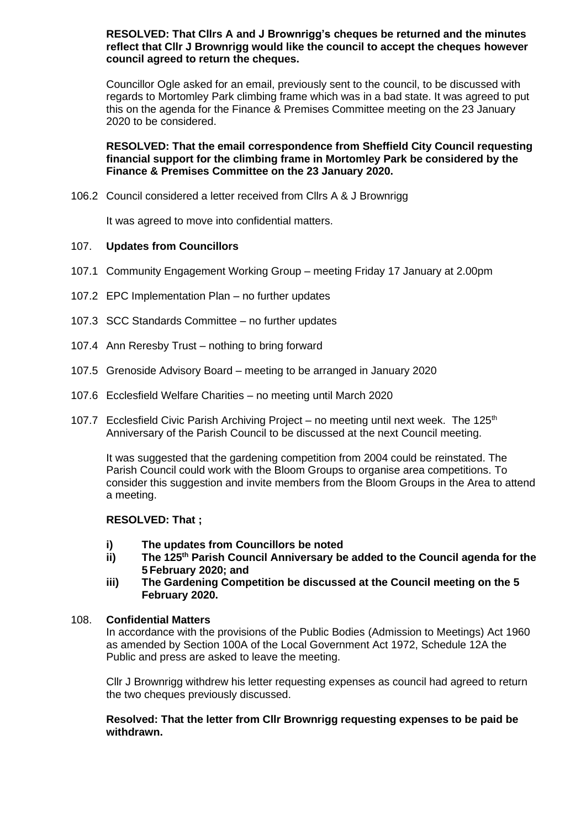### **RESOLVED: That Cllrs A and J Brownrigg's cheques be returned and the minutes reflect that Cllr J Brownrigg would like the council to accept the cheques however council agreed to return the cheques.**

Councillor Ogle asked for an email, previously sent to the council, to be discussed with regards to Mortomley Park climbing frame which was in a bad state. It was agreed to put this on the agenda for the Finance & Premises Committee meeting on the 23 January 2020 to be considered.

## **RESOLVED: That the email correspondence from Sheffield City Council requesting financial support for the climbing frame in Mortomley Park be considered by the Finance & Premises Committee on the 23 January 2020.**

106.2 Council considered a letter received from Cllrs A & J Brownrigg

It was agreed to move into confidential matters.

# 107. **Updates from Councillors**

- 107.1 Community Engagement Working Group meeting Friday 17 January at 2.00pm
- 107.2 EPC Implementation Plan no further updates
- 107.3 SCC Standards Committee no further updates
- 107.4 Ann Reresby Trust nothing to bring forward
- 107.5 Grenoside Advisory Board meeting to be arranged in January 2020
- 107.6 Ecclesfield Welfare Charities no meeting until March 2020
- 107.7 Ecclesfield Civic Parish Archiving Project no meeting until next week. The  $125<sup>th</sup>$ Anniversary of the Parish Council to be discussed at the next Council meeting.

It was suggested that the gardening competition from 2004 could be reinstated. The Parish Council could work with the Bloom Groups to organise area competitions. To consider this suggestion and invite members from the Bloom Groups in the Area to attend a meeting.

# **RESOLVED: That ;**

- **i)** The updates from Councillors be noted<br>**ii)** The 125<sup>th</sup> Parish Council Anniversary be
- **ii) The 125th Parish Council Anniversary be added to the Council agenda for the 5 February 2020; and**
- **iii) The Gardening Competition be discussed at the Council meeting on the 5 February 2020.**

#### 108. **Confidential Matters**

In accordance with the provisions of the Public Bodies (Admission to Meetings) Act 1960 as amended by Section 100A of the Local Government Act 1972, Schedule 12A the Public and press are asked to leave the meeting.

Cllr J Brownrigg withdrew his letter requesting expenses as council had agreed to return the two cheques previously discussed.

**Resolved: That the letter from Cllr Brownrigg requesting expenses to be paid be withdrawn.**